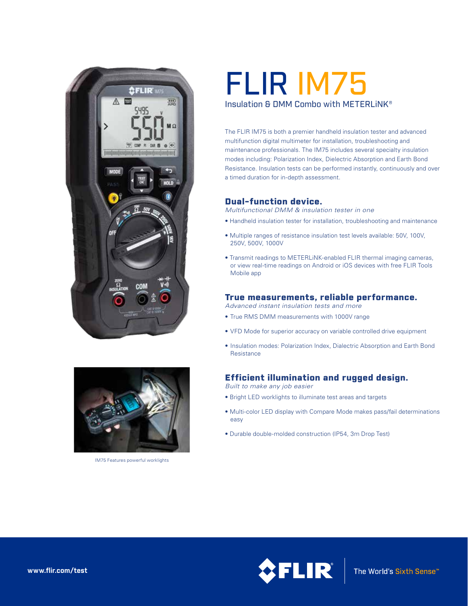



IM75 Features powerful worklights

# FLIR IM75 Insulation & DMM Combo with METERLiNK®

The FLIR IM75 is both a premier handheld insulation tester and advanced multifunction digital multimeter for installation, troubleshooting and maintenance professionals. The IM75 includes several specialty insulation modes including: Polarization Index, Dielectric Absorption and Earth Bond Resistance. Insulation tests can be performed instantly, continuously and over a timed duration for in-depth assessment.

## Dual-function device.

*Multifunctional DMM & insulation tester in one*

- Handheld insulation tester for installation, troubleshooting and maintenance
- Multiple ranges of resistance insulation test levels available: 50V, 100V, 250V, 500V, 1000V
- Transmit readings to METERLiNK-enabled FLIR thermal imaging cameras, or view real-time readings on Android or iOS devices with free FLIR Tools Mobile app

#### True measurements, reliable performance.

*Advanced instant insulation tests and more*

- True RMS DMM measurements with 1000V range
- VFD Mode for superior accuracy on variable controlled drive equipment
- Insulation modes: Polarization Index, Dialectric Absorption and Earth Bond Resistance

## Efficient illumination and rugged design.

*Built to make any job easier*

- Bright LED worklights to illuminate test areas and targets
- Multi-color LED display with Compare Mode makes pass/fail determinations easy
- Durable double-molded construction (IP54, 3m Drop Test)